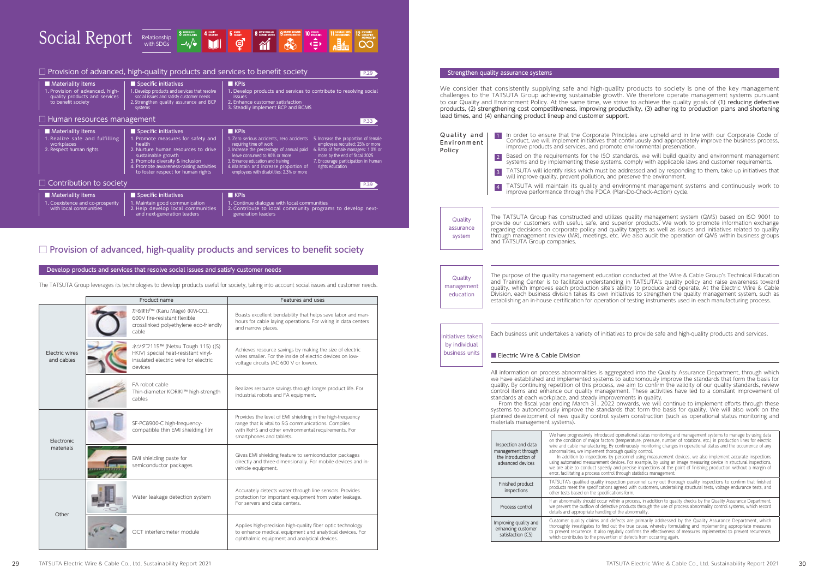Develop products and services that resolve social issues and satisfy customer needs

The TATSUTA Group leverages its technologies to develop products useful for society, taking into account social issues and customer needs.

|                              | Product name                                                                                                              | Features and uses                                                                                                                                                                                  |
|------------------------------|---------------------------------------------------------------------------------------------------------------------------|----------------------------------------------------------------------------------------------------------------------------------------------------------------------------------------------------|
| Electric wires<br>and cables | かるまげ™ (Karu Mage) (KM-CC),<br>600V fire-resistant flexible<br>crosslinked polyethylene eco-friendly<br>cable              | Boasts excellent bendability that helps save labor and man-<br>hours for cable laying operations. For wiring in data centers<br>and narrow places.                                                 |
|                              | ネツタフ115™ (Netsu Tough 115) ((S)<br>HKIV) special heat-resistant vinyl-<br>insulated electric wire for electric<br>devices | Achieves resource savings by making the size of electric<br>wires smaller. For the inside of electric devices on low-<br>voltage circuits (AC 600 V or lower).                                     |
|                              | FA robot cable<br>Thin-diameter KORIKI™ high-strength<br>cables                                                           | Realizes resource savings through longer product life. For<br>industrial robots and FA equipment.                                                                                                  |
| Electronic<br>materials      | SF-PC8900-C high-frequency-<br>compatible thin EMI shielding film                                                         | Provides the level of EMI shielding in the high-frequency<br>range that is vital to 5G communications. Complies<br>with RoHS and other environmental requirements. For<br>smartphones and tablets. |
|                              | EMI shielding paste for<br>semiconductor packages                                                                         | Gives EMI shielding feature to semiconductor packages<br>directly and three-dimensionally. For mobile devices and in-<br>vehicle equipment.                                                        |
| Other                        | Water leakage detection system                                                                                            | Accurately detects water through line sensors. Provides<br>protection for important equipment from water leakage.<br>For servers and data centers.                                                 |
|                              | OCT interferometer module                                                                                                 | Applies high-precision high-quality fiber optic technology<br>to enhance medical equipment and analytical devices. For<br>ophthalmic equipment and analytical devices.                             |

We consider that consistently supplying safe and high-quality products to society is one of the key management challenges to the TATSUTA Group achieving sustainable growth. We therefore operate management systems pursuant to our Quality and Environment Policy. At the same time, we strive to achieve the quality goals of (1) reducing defective products, (2) strengthening cost competitiveness, improving productivity, (3) adhering to production plans and shortening lead times, and (4) enhancing product lineup and customer support.

> Its are primarily addressed by the Quality Assurance Department, which he true cause, whereby formulating and implementing appropriate measures to prevent recurrence. It also regularly confirms the effectiveness of measures implemented to prevent recurrence, which contributes to the prevention of defects from occurring again.

# Strengthen quality assurance systems

| Quality and<br>Environment<br>Policy                 | 1<br> 2 <br> 3 <br>$\overline{4}$                                                    | In order to ensure that the Corporate Principle<br>Conduct, we will implement initiatives that contin<br>improve products and services, and promote envi<br>Based on the requirements for the ISO standard<br>systems and by implementing these systems, com<br>TATSUTA will identify risks which must be addre:<br>will improve quality, prevent pollution, and preser<br>TATSUTA will maintain its quality and environr<br>improve performance through the PDCA (Plan-Do |
|------------------------------------------------------|--------------------------------------------------------------------------------------|----------------------------------------------------------------------------------------------------------------------------------------------------------------------------------------------------------------------------------------------------------------------------------------------------------------------------------------------------------------------------------------------------------------------------------------------------------------------------|
| Quality<br>assurance<br>system                       | and TATSUTA Group companies.                                                         | The TATSUTA Group has constructed and utilizes qua<br>provide our customers with useful, safe, and superior<br>regarding decisions on corporate policy and quality ta<br>through management review (MR), meetings, etc. We a                                                                                                                                                                                                                                               |
| Quality<br>management<br>education                   |                                                                                      | The purpose of the quality management education cone<br>and Training Center is to facilitate understanding in<br>quality, which improves each production site's ability<br>Division, each business division takes its own initiatives<br>establishing an in-house certification for operation of tes                                                                                                                                                                       |
| Initiatives taken<br>by individual<br>business units | Electric Wire & Cable Division                                                       | Each business unit undertakes a variety of initiatives to                                                                                                                                                                                                                                                                                                                                                                                                                  |
|                                                      | materials management systems).                                                       | All information on process abnormalities is aggregated<br>we have established and implemented systems to auto<br>quality. By continuing repetition of this process, we ain<br>control items and enhance our quality management. 7<br>standards at each workplace, and steady improvement.<br>From the fiscal year ending March 31, 2022 onward<br>systems to autonomously improve the standards that<br>planned development of new quality control system c                |
|                                                      | Inspection and data<br>management through<br>the introduction of<br>advanced devices | We have progressively introduced operation<br>on the condition of major factors (temperat<br>wire and cable manufacturing. By continuou<br>abnormalities, we implement thorough quali-<br>In addition to inspections by personnel<br>using automated measurement devices. For<br>we are able to conduct speedy and precis<br>error, facilitating a process control through s                                                                                               |
|                                                      | Finished product<br>inspections                                                      | TATSUTA's qualified quality inspection per<br>products meet the specifications agreed wit<br>other tests based on the specifications form.                                                                                                                                                                                                                                                                                                                                 |
|                                                      | Process control                                                                      | If an abnormality should occur within a proc<br>we prevent the outflow of defective product<br>details and appropriate handling of the abno                                                                                                                                                                                                                                                                                                                                |
|                                                      | Improving quality and<br>enhancing customer                                          | Customer quality claims and defects are<br>thoroughly investigates to find out the true                                                                                                                                                                                                                                                                                                                                                                                    |

satisfaction (CS)

Inciples are upheld and in line with our Corporate Code of continuously and appropriately improve the business process, environmental preservation.

ndards, we will build quality and environment management , comply with applicable laws and customer requirements.

ddressed and by responding to them, take up initiatives that reserve the environment.

ironment management systems and continuously work to in-Do-Check-Action) cycle.

quality management system (QMS) based on ISO 9001 to erior products. We work to promote information exchange ity targets as well as issues and initiatives related to quality We also audit the operation of QMS within business groups

conducted at the Wire & Cable Group's Technical Education g in TATSUTA's quality policy and raise awareness toward pility to produce and operate. At the Electric Wire & Cable atives to strengthen the quality management system, such as of testing instruments used in each manufacturing process.

es to provide safe and high-quality products and services.

ated into the Quality Assurance Department, through which autonomously improve the standards that form the basis for e aim to confirm the validity of our quality standards, review ent. These activities have led to a constant improvement of ments in quality.

nwards, we will continue to implement efforts through these standards to automously increased that form the basis for quality. We will also work on the em construction (such as operational status monitoring and

erational status monitoring and management systems to manage by using data on the condition of manifology and managerine conditions, etc.) in production lines for electric itinuously monitoring changes in operational status and the occurrence of any auality control.

In addition also inspect opersonnel using the sonnel using measurement accurate inspections using automated measurement devices. For example, by using an image measuring device in structural inspections, we are able to conduct speedy and precise inspections at the point of finishing production without a margin of ough statistics management.

> on personnel carry out thorough quality inspections to confirm that finished eed with customers, undertaking structural tests, voltage endurance tests, and

> a process, in addition to quality checks by the Quality Assurance Department, roducts through the use of process abnormality control systems, which record e abnormality.

| Social Report $\frac{1}{\sqrt{2}}$ $\frac{1}{\sqrt{2}}$ $\frac{1}{\sqrt{2}}$ $\frac{1}{\sqrt{2}}$ $\frac{1}{\sqrt{2}}$ $\frac{1}{\sqrt{2}}$ $\frac{1}{\sqrt{2}}$ $\frac{1}{\sqrt{2}}$ $\frac{1}{\sqrt{2}}$ $\frac{1}{\sqrt{2}}$ $\frac{1}{\sqrt{2}}$ $\frac{1}{\sqrt{2}}$ $\frac{1}{\sqrt{2}}$ |  |  |  |  |  |  |  |  |  |
|------------------------------------------------------------------------------------------------------------------------------------------------------------------------------------------------------------------------------------------------------------------------------------------------|--|--|--|--|--|--|--|--|--|
|------------------------------------------------------------------------------------------------------------------------------------------------------------------------------------------------------------------------------------------------------------------------------------------------|--|--|--|--|--|--|--|--|--|

| $\Box$ Provision of advanced, high-quality products and services to benefit society<br><b>Materiality items</b> | Specific initiatives                                                                                                                                                                                                           | $\blacksquare$ KPIs                                                                                                                                                                                                                                                            | P.29                                                                                                                                                                                                         |
|-----------------------------------------------------------------------------------------------------------------|--------------------------------------------------------------------------------------------------------------------------------------------------------------------------------------------------------------------------------|--------------------------------------------------------------------------------------------------------------------------------------------------------------------------------------------------------------------------------------------------------------------------------|--------------------------------------------------------------------------------------------------------------------------------------------------------------------------------------------------------------|
| 1. Provision of advanced, high-<br>quality products and services<br>to benefit society                          | 1. Develop products and services that resolve<br>social issues and satisfy customer needs<br>2. Strengthen quality assurance and BCP<br>systems                                                                                | 1. Develop products and services to contribute to resolving social<br><b>issues</b><br>2. Enhance customer satisfaction<br>3. Steadily implement BCP and BCMS                                                                                                                  |                                                                                                                                                                                                              |
| $\Box$ Human resources management                                                                               |                                                                                                                                                                                                                                |                                                                                                                                                                                                                                                                                | P.33                                                                                                                                                                                                         |
| <b>Materiality items</b>                                                                                        | Specific initiatives                                                                                                                                                                                                           | $\blacksquare$ KPIs                                                                                                                                                                                                                                                            |                                                                                                                                                                                                              |
| 1. Realize safe and fulfilling<br>workplaces<br>2. Respect human rights                                         | 1. Promote measures for safety and<br>health<br>2. Nurture human resources to drive<br>sustainable growth<br>3. Promote diversity & inclusion<br>4. Promote awareness-raising activities<br>to foster respect for human rights | 1. Zero serious accidents, zero accidents<br>requiring time off work<br>2. Increase the percentage of annual paid<br>leave consumed to 80% or more<br>3. Enhance education and training<br>4. Maintain and increase proportion of<br>employees with disabilities: 2.3% or more | 5. Increase the proportion of female<br>employees recruited: 25% or more<br>6. Ratio of female managers: 10% or<br>more by the end of fiscal 2025<br>7. Encourage participation in human<br>rights education |
| $\Box$ Contribution to society                                                                                  |                                                                                                                                                                                                                                |                                                                                                                                                                                                                                                                                | P.39                                                                                                                                                                                                         |
| <b>Materiality items</b>                                                                                        | Specific initiatives                                                                                                                                                                                                           | $\blacksquare$ KPIs                                                                                                                                                                                                                                                            |                                                                                                                                                                                                              |
| 1. Coexistence and co-prosperity<br>with local communities                                                      | 1. Maintain good communication<br>2. Help develop local communities<br>and next-generation leaders                                                                                                                             | 1. Continue dialogue with local communities<br>2. Contribute to local community programs to develop next-<br>generation leaders                                                                                                                                                |                                                                                                                                                                                                              |

# $\square$  Provision of advanced, high-quality products and services to benefit society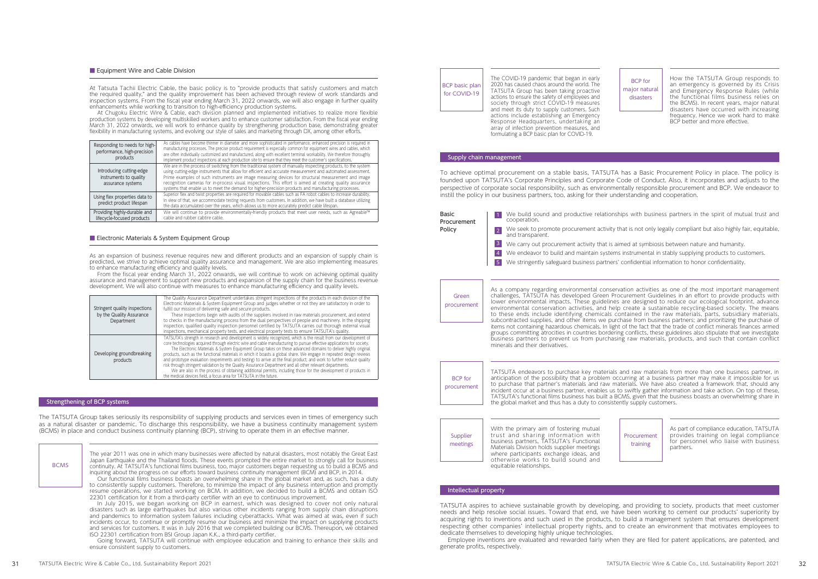# Strengthening of BCP systems

The TATSUTA Group takes seriously its responsibility of supplying products and services even in times of emergency such as a natural disaster or pandemic. To discharge this responsibility, we have a business continuity management system (BCMS) in place and conduct business continuity planning (BCP), striving to operate them in an effective manner.

How the TATSUTA Group responds to an emergency is governed by its Crisis and Emergency Response Rules (while the functional films business relies on the BCMS). In recent years, major natural disasters have occurred with increasing frequency. Hence we work hard to make BCP better and more effective.

The year 2011 was one in which many businesses were affected by natural disasters, most notably the Great East Japan Earthquake and the Thailand floods. These events prompted the entire market to strongly call for business continuity. At TATSUTA's functional films business, too, major customers began requesting us to build a BCMS and inquiring about the progress on our efforts toward business continuity management (BCM) and BCP, in 2014. Our functional films business boasts an overwhelming share in the global market and, as such, has a duty to consistently supply customers. Therefore, to minimize the impact of any business interruption and promptly resume operations, we started working on BCM. In addition, we decided to build a BCMS and obtain ISO 22301 certification for it from a third-party certifier with an eye to continuous improvement. In July 2015, we began working on BCP in earnest, which was designed to cover not only natural disasters such as large earthquakes but also various other incidents ranging from supply chain disruptions and pandemics to information system failures including cyberattacks. What was aimed at was, even if such incidents occur, to continue or promptly resume our business and minimize the impact on supplying products and services for customers. It was in July 2016 that we completed building our BCMS. Thereupon, we obtained BCMS

As an expansion of business revenue requires new and different products and an expansion of supply chain is predicted, we strive to achieve optimal quality assurance and management. We are also implementing measures to enhance manufacturing efficiency and quality levels.

ISO 22301 certification from BSI Group Japan K.K., a third-party certifier. Going forward, TATSUTA will continue with employee education and training to enhance their skills and ensure consistent supply to customers.

The COVID-19 pandemic that began in early 2020 has caused chaos around the world. The TATSUTA Group has been taking proactive actions to ensure the safety of employees and society through strict COVID-19 measures and meet its duty to supply customers. Such actions include establishing an Emergency Response Headquarters, undertaking an array of infection prevention measures, and formulating a BCP basic plan for COVID-19.

BCP basic plan for COVID-19

BCP for major natural disasters

#### ■ Equipment Wire and Cable Division

At Tatsuta Tachii Electric Cable, the basic policy is to "provide products that satisfy customers and match the required quality," and the quality improvement has been achieved through review of work standards and inspection systems. From the fiscal year ending March 31, 2022 onwards, we will also engage in further quality enhancements while working to transition to high-efficiency production systems.

At Chugoku Electric Wire & Cable, each division planned and implemented initiatives to realize more flexible production systems by developing multiskilled workers and to enhance customer satisfaction. From the fiscal year ending March 31, 2022 onwards, we will work to enhance quality by strengthening production base, demonstrating greater flexibility in manufacturing systems, and evolving our style of sales and marketing through DX, among other efforts.

From the fiscal year ending March 31, 2022 onwards, we will continue to work on achieving optimal quality assurance and management to support new products and expansion of the supply chain for the business revenue development. We will also continue with measures to enhance manufacturing efficiency and quality levels.

| Responding to needs for high-<br>performance, high-precision<br>products | As cables have become thinner in diameter and more sophisticated in performance, enhanced precision is required in<br>manufacturing processes. The precise product requirement is especially common for equipment wires and cables, which<br>are often individually customized and manufactured, along with excellent terminal workability. We therefore thoroughly<br>implement product inspections at each production site to ensure that they meet the customer's specifications.                                                                    |
|--------------------------------------------------------------------------|---------------------------------------------------------------------------------------------------------------------------------------------------------------------------------------------------------------------------------------------------------------------------------------------------------------------------------------------------------------------------------------------------------------------------------------------------------------------------------------------------------------------------------------------------------|
| Introducing cutting-edge<br>instruments to quality<br>assurance systems  | We are in the process of switching from the traditional system of manually inspecting products, to the system<br>using cutting-edge instruments that allow for efficient and accurate measurement and automated assessment.<br>Prime examples of such instruments are image measuring devices for structural measurement and image<br>recognition cameras for in-process visual inspections. This effort is aimed at creating quality assurance<br>systems that enable us to meet the demand for higher-precision products and manufacturing processes. |
| Using flex properties data to<br>predict product lifespan                | Superior flex and twist properties are required for movable cables such as FA robot cables to increase durability.<br>In view of that, we accommodate testing requests from customers. In addition, we have built a database utilizing<br>the data accumulated over the years, which allows us to more accurately predict cable lifespan.                                                                                                                                                                                                               |
| Providing highly-durable and<br>lifecycle-focused products               | We will continue to provide environmentally-friendly products that meet user needs, such as Agreable™<br>cable and rubber cabtire cable.                                                                                                                                                                                                                                                                                                                                                                                                                |

### ■ Electronic Materials & System Equipment Group

| Stringent quality inspections<br>by the Quality Assurance<br>Department | The Quality Assurance Department undertakes stringent inspections of the products in each division of the<br>Electronic Materials & System Equipment Group and judges whether or not they are satisfactory in order to<br>fulfill our mission of delivering safe and secure products.<br>These inspections begin with audits of the suppliers involved in raw materials procurement, and extend<br>to checks in the manufacturing process from the dual perspectives of people and machinery. In the shipping<br>inspection, qualified quality inspection personnel certified by TATSUTA carries out thorough external visual<br>inspections, mechanical property tests, and electrical property tests to ensure TATSUTA's quality.                                                                                                                                                                            |
|-------------------------------------------------------------------------|----------------------------------------------------------------------------------------------------------------------------------------------------------------------------------------------------------------------------------------------------------------------------------------------------------------------------------------------------------------------------------------------------------------------------------------------------------------------------------------------------------------------------------------------------------------------------------------------------------------------------------------------------------------------------------------------------------------------------------------------------------------------------------------------------------------------------------------------------------------------------------------------------------------|
| Developing groundbreaking<br>products                                   | TATSUTA's strength in research and development is widely recognized, which is the result from our development of<br>core technologies acquired through electric wire and cable manufacturing to pursue effective applications for society.<br>The Electronic Materials & System Equipment Group takes on these advanced domains to deliver highly original<br>products, such as the functional materials in which it boasts a global share. We engage in repeated design reviews<br>and prototype evaluation (experiments and testing) to arrive at the final product, and work to further reduce quality<br>risk through stringent validation by the Quality Assurance Department and all other relevant departments.<br>We are also in the process of obtaining additional permits, including those for the development of products in<br>the medical devices field, a focus area for TATSUTA in the future. |

TATSUTA aspires to achieve sustainable growth by developing, and providing to society, products that meet customer needs and help resolve social issues. Toward that end, we have been working to cement our products' superiority by acquiring rights to inventions and such used in the products, to build a management system that ensures development respecting other companies' intellectual property rights, and to create an environment that motivates employees to dedicate themselves to developing highly unique technologies.

Employee inventions are evaluated and rewarded fairly when they are filed for patent applications, are patented, and generate profits, respectively.

### Intellectual property

As a company regarding environmental conservation activities as one of the most important management challenges, TATSUTA has developed Green Procurement Guidelines in an effort to provide products with lower environmental impacts. These guidelines are designed to reduce our ecological footprint, advance environmental conservation activities, and help create a sustainable recycling-based society. The means to these ends include identifying chemicals contained in the raw materials, parts, subsidiary materials, subcontracted supplies, and other items we purchase from business partners; and prioritizing the purchase of items not containing hazardous chemicals. In light of the fact that the trade of conflict minerals finances armed groups committing atrocities in countries bordering conflicts, these guidelines also stipulate that we investigate business partners to prevent us from purchasing raw materials, products, and such that contain conflict

minerals and their derivatives.

TATSUTA endeavors to purchase key materials and raw materials from more than one business partner, in anticipation of the possibility that a problem occurring at a business partner may make it impossible for us to purchase that partner's materials and raw materials. We have also created a framework that, should any incident occur at a business partner, enables us to swiftly gather information and take action. On top of these, TATSUTA's functional films business has built a BCMS, given that the business boasts an overwhelming share in the global market and thus has a duty to consistently supply customers.

With the primary aim of fostering mutual trust and sharing information with business partners, TATSUTA's Functional Materials Division holds supplier meetings where participants exchange ideas, and otherwise works to build sound and equitable relationships.

As part of compliance education, TATSUTA provides training on legal compliance for personnel who liaise with business partners.

To achieve optimal procurement on a stable basis, TATSUTA has a Basic Procurement Policy in place. The policy is founded upon TATSUTA's Corporate Principles and Corporate Code of Conduct. Also, it incorporates and adjusts to the perspective of corporate social responsibility, such as environmentally responsible procurement and BCP. We endeavor to instill the policy in our business partners, too, asking for their understanding and cooperation.

### Supply chain management

BCP for procurement

Supplier meetings

Procurement training



We build sound and productive relationships with business partners in the spirit of mutual trust and 1

We seek to promote procurement activity that is not only legally compliant but also highly fair, equitable,

- We carry out procurement activity that is aimed at symbiosis between nature and humanity.
- We endeavor to build and maintain systems instrumental in stably supplying products to customers.
- We stringently safeguard business partners' confidential information to honor confidentiality.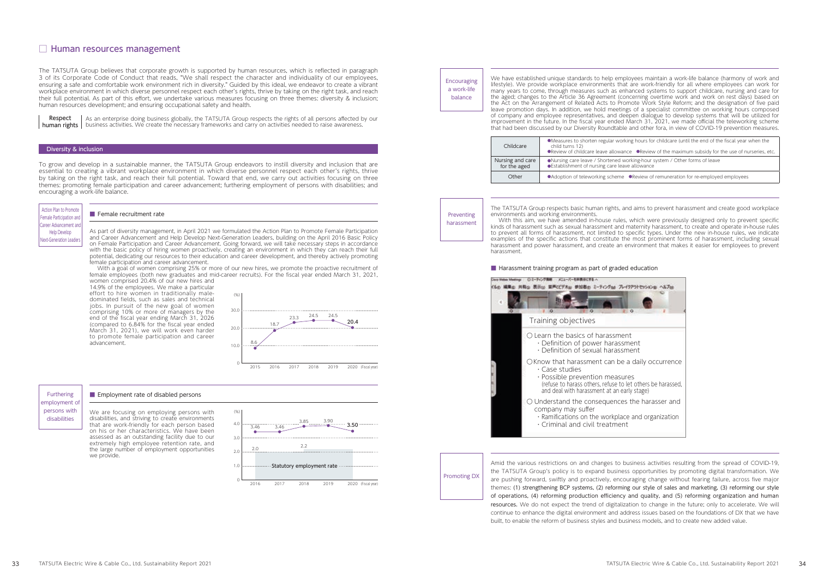working hours for childcare (until the end of the fiscal year when the

wance  $\bullet$ Review of the maximum subsidy for the use of nurseries, etc. ed working-hour system / Other forms of leave leave allowance

me ●Review of remuneration for re-employed employees

As part of diversity management, in April 2021 we formulated the Action Plan to Promote Female Participation and Career Advancement and Help Develop Next-Generation Leaders, building on the April 2016 Basic Policy on Female Participation and Career Advancement. Going forward, we will take necessary steps in accordance with the basic policy of hiring women proactively, creating an environment in which they can reach their full potential, dedicating our resources to their education and career development, and thereby actively promoting female participation and career advancement.

With a goal of women comprising 25% or more of our new hires, we promote the proactive recruitment of female employees (both new graduates and mid-career recruits). For the fiscal year ended March 31, 2021, women comprised 20.4% of our new hires and

14.9% of the employees. We make a particular effort to hire women in traditionally maledominated fields, such as sales and technical jobs. In pursuit of the new goal of women comprising 10% or more of managers by the end of the fiscal year ending March 31, 2026 (compared to 6.84% for the fiscal year ended March 31, 2021), we will work even harder to promote female participation and career advancement.

# $\Box$  Human resources management

The TATSUTA Group believes that corporate growth is supported by human resources, which is reflected in paragraph 3 of its Corporate Code of Conduct that reads, "We shall respect the character and individuality of our employees, ensuring a safe and comfortable work environment rich in diversity." Guided by this ideal, we endeavor to create a vibrant workplace environment in which diverse personnel respect each other's rights, thrive by taking on the right task, and reach their full potential. As part of this effort, we undertake various measures focusing on three themes: diversity & inclusion; human resources development; and ensuring occupational safety and health.

> With this aim, we have amended in-house rules, which were previously designed only to prevent specific kinds of harassment such as sexual harassment and maternity harassment, to create and operate in-house rules to prevent all forms of harassment, not limited to specific types. Under the new in-house rules, we indicate examples of the specific actions that constitute the most prominent forms of harassment, including sexual harassment and power harassment, and create an environment that makes it easier for employees to prevent harassment.

### ■ Harassment training program as part of graded education

To grow and develop in a sustainable manner, the TATSUTA Group endeavors to instill diversity and inclusion that are essential to creating a vibrant workplace environment in which diverse personnel respect each other's rights, thrive by taking on the right task, and reach their full potential. Toward that end, we carry out activities focusing on three themes: promoting female participation and career advancement; furthering employment of persons with disabilities; and encouraging a work-life balance.

# **Encouraging** a work-life balance

As an enterprise doing business globally, the TATSUTA Group respects the rights of all persons affected by our **human rights** | business activities. We create the necessary frameworks and carry on activities needed to raise awareness. Respect

# **Diversity & inclusion**

The TATSUTA Group respects basic human rights, and aims to prevent harassment and create good workplace environments and working environments.

| Childcare                        | •Measures to shorten regular v<br>child turns 12)<br><b>•Review of childcare leave alloy</b> |
|----------------------------------|----------------------------------------------------------------------------------------------|
| Nursing and care<br>for the aged | ●Nursing care leave / Shortene<br>● Establishment of nursing care                            |
| Other                            | ● Adoption of teleworking scher                                                              |
|                                  |                                                                                              |

Preventing harassment We have established unique standards to help employees maintain a work-life balance (harmony of work and lifestyle). We provide workplace environments that are work-friendly for all where employees can work for many years to come, through measures such as enhanced systems to support childcare, nursing and care for the aged; changes to the Article 36 Agreement (concerning overtime work and work on rest days) based on the Act on the Arrangement of Related Acts to Promote Work Style Reform; and the designation of five paid leave promotion days. In addition, we hold meetings of a specialist committee on working hours composed of company and employee representatives, and deepen dialogue to develop systems that will be utilized for improvement in the future. In the fiscal year ended March 31, 2021, we made official the teleworking scheme that had been discussed by our Diversity Roundtable and other fora, in view of COVID-19 prevention measures.

We are focusing on employing persons with disabilities, and striving to create environments that are work-friendly for each person based on his or her characteristics. We have been assessed as an outstanding facility due to our extremely high employee retention rate, and the large number of employment opportunities we provide.



# ■ Female recruitment rate

### Furthering employment of persons with disabilities

#### ■ Employment rate of disabled persons

Amid the various restrictions on and changes to business activities resulting from the spread of COVID-19, the TATSUTA Group's policy is to expand business opportunities by promoting digital transformation. We are pushing forward, swiftly and proactively, encouraging change without fearing failure, across five major themes: (1) strengthening BCP systems, (2) reforming our style of sales and marketing, (3) reforming our style of operations, (4) reforming production efficiency and quality, and (5) reforming organization and human resources. We do not expect the trend of digitalization to change in the future; only to accelerate. We will continue to enhance the digital environment and address issues based on the foundations of DX that we have built, to enable the reform of business styles and business models, and to create new added value.

Promoting DX





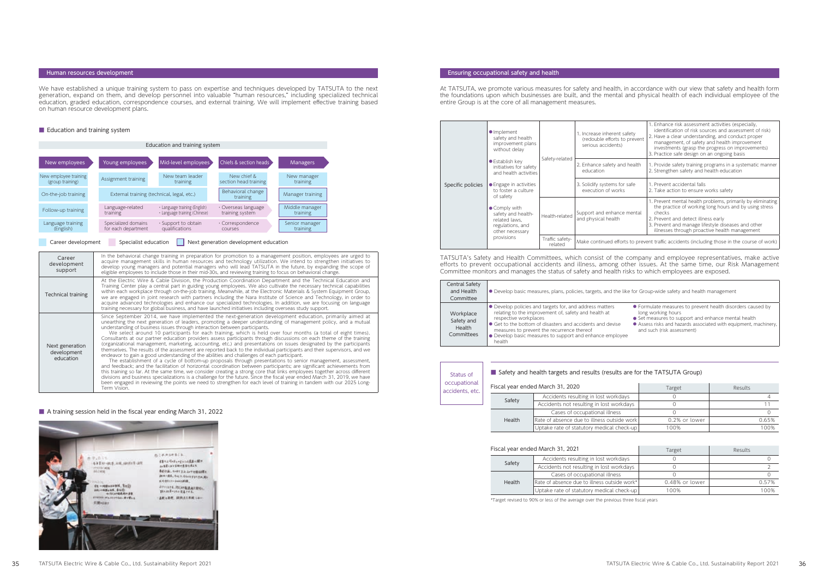| Career<br>development<br>support            | In the behavioral change training in preparation for promotion to a management position, employees are urged to<br>acquire management skills in human resources and technology utilization. We intend to strengthen initiatives to<br>develop young managers and potential managers who will lead TATSUTA in the future, by expanding the scope of<br>eligible employees to include those in their mid-30s, and reviewing training to focus on behavioral change.                                                                                                                                                                                                                                                                                                                                                                                                                                                                                                                                                                                                                                                                                                                                                                                                                                                                                                                                                                                                                                                                         |
|---------------------------------------------|-------------------------------------------------------------------------------------------------------------------------------------------------------------------------------------------------------------------------------------------------------------------------------------------------------------------------------------------------------------------------------------------------------------------------------------------------------------------------------------------------------------------------------------------------------------------------------------------------------------------------------------------------------------------------------------------------------------------------------------------------------------------------------------------------------------------------------------------------------------------------------------------------------------------------------------------------------------------------------------------------------------------------------------------------------------------------------------------------------------------------------------------------------------------------------------------------------------------------------------------------------------------------------------------------------------------------------------------------------------------------------------------------------------------------------------------------------------------------------------------------------------------------------------------|
| Technical training                          | At the Electric Wire & Cable Division, the Production Coordination Department and the Technical Education and<br>Training Center play a central part in guiding young employees. We also cultivate the necessary technical capabilities<br>within each workplace through on-the-job training. Meanwhile, at the Electronic Materials & System Equipment Group,<br>we are engaged in joint research with partners including the Nara Institute of Science and Technology, in order to<br>acquire advanced technologies and enhance our specialized technologies. In addition, we are focusing on language<br>training necessary for global business, and have launched initiatives including overseas study support.                                                                                                                                                                                                                                                                                                                                                                                                                                                                                                                                                                                                                                                                                                                                                                                                                       |
| Next generation<br>development<br>education | Since September 2014, we have implemented the next-generation development education, primarily aimed at<br>unearthing the next generation of leaders, promoting a deeper understanding of management policy, and a mutual<br>understanding of business issues through interaction between participants.<br>We select around 10 participants for each training, which is held over four months (a total of eight times).<br>Consultants at our partner education providers assess participants through discussions on each theme of the training<br>(organizational management, marketing, accounting, etc.) and presentations on issues designated by the participants<br>themselves. The results of the assessment are reported back to the individual participants and their supervisors, and we<br>endeavor to gain a good understanding of the abilities and challenges of each participant.<br>The establishment of a cycle of bottom-up proposals through presentations to senior management, assessment,<br>and feedback; and the facilitation of horizontal coordination between participants; are significant achievements from<br>this training so far. At the same time, we consider creating a strong core that links employees together across different<br>divisions and business specializations is a challenge for the future. Since the fiscal year ended March 31, 2019, we have<br>been engaged in reviewing the points we need to strengthen for each level of training in tandem with our 2025 Long-<br>Term Vision. |

# ■ A training session held in the fiscal year ending March 31, 2022



the like for Group-wide safety and health management ● Formulate measures to prevent health disorders caused by long working hours ● Set measures to support and enhance mental health ● Assess risks and hazards associated with equipment, machinery, and such (risk assessment)

| Central Safety<br>and Health<br>Committee       | • Develop basic measures, plans, policies, targets, and the like                                                                                                                                                                                                                                                          |
|-------------------------------------------------|---------------------------------------------------------------------------------------------------------------------------------------------------------------------------------------------------------------------------------------------------------------------------------------------------------------------------|
| Workplace<br>Safety and<br>Health<br>Committees | • Develop policies and targets for, and address matters<br>relating to the improvement of, safety and health at<br>respective workplaces<br>• Get to the bottom of disasters and accidents and devise<br>measures to prevent the recurrence thereof<br>• Develop basic measures to support and enhance employee<br>health |

| Fiscal year ended March 31, 2021 |                                              | Target         | Results |
|----------------------------------|----------------------------------------------|----------------|---------|
|                                  | Accidents resulting in lost workdays         |                |         |
| Safety                           | Accidents not resulting in lost workdays     |                |         |
| Health                           | Cases of occupational illness                |                |         |
|                                  | Rate of absence due to illness outside work* | 0.48% or lower | 0.57%   |
|                                  | Uptake rate of statutory medical check-up    | 100%           | 100%    |

| Specific policies | • Implement<br>safety and health<br>improvement plans<br>without delay                                    | Safety-related             | 1. Increase inherent safety<br>(redouble efforts to prevent<br>serious accidents)           | 1. Enhance risk assessment activities (especially,<br>identification of risk sources and assessment of risk)<br>2. Have a clear understanding, and conduct proper<br>management, of safety and health improvement<br>investments (grasp the progress on improvements)<br>3. Practice safe design on an ongoing basis |
|-------------------|-----------------------------------------------------------------------------------------------------------|----------------------------|---------------------------------------------------------------------------------------------|----------------------------------------------------------------------------------------------------------------------------------------------------------------------------------------------------------------------------------------------------------------------------------------------------------------------|
|                   | <b>Establish key</b><br>initiatives for safety<br>and health activities                                   |                            | 2. Enhance safety and health<br>education                                                   | 1. Provide safety training programs in a systematic manner<br>2. Strengthen safety and health education                                                                                                                                                                                                              |
|                   | • Engage in activities<br>to foster a culture<br>of safety                                                |                            | 3. Solidify systems for safe<br>execution of works                                          | 1. Prevent accidental falls<br>2. Take action to ensure works safety                                                                                                                                                                                                                                                 |
|                   | • Comply with<br>safety and health-<br>related laws,<br>regulations, and<br>other necessary<br>provisions | Health-related             | Support and enhance mental<br>and physical health                                           | 1. Prevent mental health problems, primarily by eliminating<br>the practice of working long hours and by using stress<br>checks<br>2. Prevent and detect illness early<br>3. Prevent and manage lifestyle diseases and other<br>illnesses through proactive health management                                        |
|                   |                                                                                                           | Traffic safety-<br>related | Make continued efforts to prevent traffic accidents (including those in the course of work) |                                                                                                                                                                                                                                                                                                                      |

| Status of                       | Safety and health targets and results (results are for the TATSUTA Group) |                                             |               |         |  |  |  |
|---------------------------------|---------------------------------------------------------------------------|---------------------------------------------|---------------|---------|--|--|--|
| occupational<br>accidents, etc. |                                                                           | Fiscal year ended March 31, 2020            | Target        | Results |  |  |  |
|                                 | Safety<br>Health                                                          | Accidents resulting in lost workdays        |               |         |  |  |  |
|                                 |                                                                           | Accidents not resulting in lost workdays    |               |         |  |  |  |
|                                 |                                                                           | Cases of occupational illness               |               |         |  |  |  |
|                                 |                                                                           | Rate of absence due to illness outside work | 0.2% or lower | 0.65%   |  |  |  |
|                                 |                                                                           | Uptake rate of statutory medical check-up   | 100%          | 100%    |  |  |  |

TATSUTA's Safety and Health Committees, which consist of the company and employee representatives, make active efforts to prevent occupational accidents and illness, among other issues. At the same time, our Risk Management Committee monitors and manages the status of safety and health risks to which employees are exposed.

# Ensuring occupational safety and health

At TATSUTA, we promote various measures for safety and health, in accordance with our view that safety and health form the foundations upon which businesses are built, and the mental and physical health of each individual employee of the entire Group is at the core of all management measures.

# Human resources development

We have established a unique training system to pass on expertise and techniques developed by TATSUTA to the next generation, expand on them, and develop personnel into valuable "human resources," including specialized technical education, graded education, correspondence courses, and external training. We will implement effective training based on human resource development plans.

### ■ Education and training system

| Education and training system |                     |                                            |                           |                  |  |
|-------------------------------|---------------------|--------------------------------------------|---------------------------|------------------|--|
| New employees                 | Young employees     | Mid-level employees                        | Chiefs & section heads    | <b>Managers</b>  |  |
| New employee training         | Assignment training | New team leader                            | New chief &               | New manager      |  |
| (group training)              |                     | training                                   | section head training     | training         |  |
| On-the-job training           |                     | External training (technical, legal, etc.) |                           | Manager training |  |
| Follow-up training            | Language-related    | • Language training (English)              | $\cdot$ Overseas language | Middle manager   |  |
|                               | training            | • Language training (Chinese)              | training system           | training         |  |
| Language training             | Specialized domains | · Support to obtain                        | · Correspondence          | Senior manager   |  |
| (English)                     | for each department | qualifications                             | <b>COULSES</b>            | training         |  |

# Career development Specialist education Next generation development education

\*Target revised to 90% or less of the average over the previous three fiscal years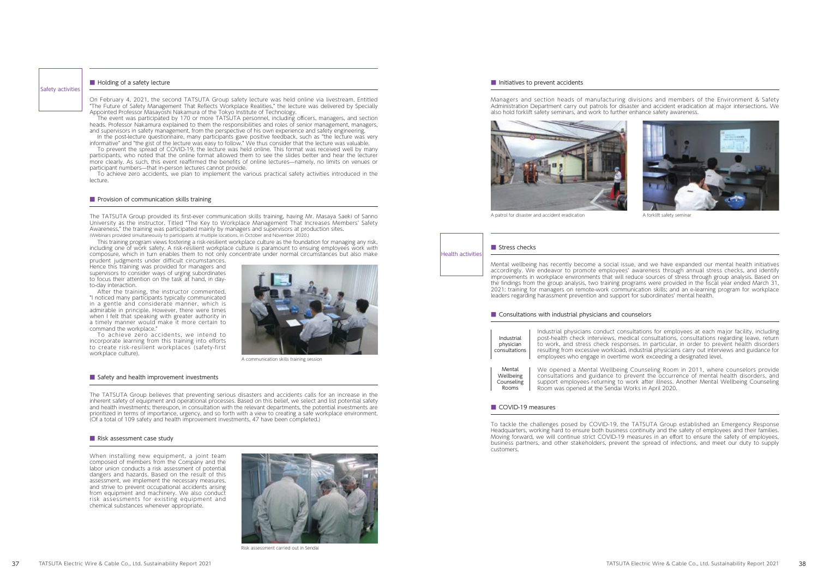



consultations for employees at each major facility, including medical consultations, consultations regarding leave, return to work, and stress check responses. In particular, in order to prevent health disorders oad, industrial physicians carry out interviews and guidance for rtime work exceeding a designated level.

eing Counseling Room in 2011, where counselors provide to prevent the occurrence of mental health disorders, and to work after illness. Another Mental Wellbeing Counseling lai Works in April 2020.

The TATSUTA Group believes that preventing serious disasters and accidents calls for an increase in the inherent safety of equipment and operational processes. Based on this belief, we select and list potential safety and health investments; thereupon, in consultation with the relevant departments, the potential investments are prioritized in terms of importance, urgency, and so forth with a view to creating a safe workplace environment. (Of a total of 109 safety and health improvement investments, 47 have been completed.)

#### ■ Risk assessment case study

Managers and section heads of manufacturing divisions and members of the Environment & Safety Administration Department carry out patrols for disaster and accident eradication at major intersections. We also hold forklift safety seminars, and work to further enhance safety awareness.



A patrol for disaster and accident eradication A forklift safety seminary

#### Health activities ■ Stress checks

When installing new equipment, a joint team composed of members from the Company and the labor union conducts a risk assessment of potential dangers and hazards. Based on the result of this assessment, we implement the necessary measures, and strive to prevent occupational accidents arising from equipment and machinery. We also conduct risk assessments for existing equipment and chemical substances whenever appropriate.



Risk assessment carried out in Sendai

#### ■ Initiatives to prevent accidents

On February 4, 2021, the second TATSUTA Group safety lecture was held online via livestream. Entitled "The Future of Safety Management That Reflects Workplace Realities," the lecture was delivered by Specially Appointed Professor Masayoshi Nakamura of the Tokyo Institute of Technology.

> Mental wellbeing has recently become a social issue, and we have expanded our mental health initiatives accordingly. We endeavor to promote employees' awareness through annual stress checks, and identify improvements in workplace environments that will reduce sources of stress through group analysis. Based on the findings from the group analysis, two training programs were provided in the fiscal year ended March 31, 2021: training for managers on remote-work communication skills; and an e-learning program for workplace leaders regarding harassment prevention and support for subordinates' mental health.

#### ■ Consultations with industrial physicians and counselors

To prevent the spread of COVID-19, the lecture was held online. This format was received well by many participants, who noted that the online format allowed them to see the slides better and hear the lecturer more clearly. As such, this event reaffirmed the benefits of online lectures—namely, no limits on venues or participant numbers—that in-person lectures cannot provide.

> To tackle the challenges posed by COVID-19, the TATSUTA Group established an Emergency Response Headquarters, working hard to ensure both business continuity and the safety of employees and their families. Moving forward, we will continue strict COVID-19 measures in an effort to ensure the safety of employees, business partners, and other stakeholders, prevent the spread of infections, and meet our duty to supply customers.

| Industrial<br>physician<br>consultations   | Industrial physicians conduct<br>post-health check interviews,<br>to work, and stress check re.<br>resulting from excessive worklo<br>employees who engage in over |
|--------------------------------------------|--------------------------------------------------------------------------------------------------------------------------------------------------------------------|
| Mental<br>Wellbeing<br>Counseling<br>Rooms | We opened a Mental Wellbe<br>consultations and guidance t<br>support employees returning<br>Room was opened at the Send                                            |

#### ■ COVID-19 measures

The event was participated by 170 or more TATSUTA personnel, including officers, managers, and section heads. Professor Nakamura explained to them the responsibilities and roles of senior management, managers, and supervisors in safety management, from the perspective of his own experience and safety engineering.

In the post-lecture questionnaire, many participants gave positive feedback, such as "the lecture was very informative" and "the gist of the lecture was easy to follow." We thus consider that the lecture was valuable.

To achieve zero accidents, we plan to implement the various practical safety activities introduced in the lecture.

# ■ Provision of communication skills training

# Safety activities

#### ■ Holding of a safety lecture

The TATSUTA Group provided its first-ever communication skills training, having Mr. Masaya Saeki of Sanno University as the instructor. Titled "The Key to Workplace Management That Increases Members' Safety Awareness," the training was participated mainly by managers and supervisors at production sites. (Webinars provided simultaneously to participants at multiple locations, in October and November 2020.)

This training program views fostering a risk-resilient workplace culture as the foundation for managing any risk, including one of work safety. A risk-resilient workplace culture is paramount to ensuing employees work with composure, which in turn enables them to not only concentrate under normal circumstances but also make prudent judgments under difficult circumstances.

Hence this training was provided for managers and supervisors to consider ways of urging subordinates to focus their attention on the task at hand, in dayto-day interaction.

After the training, the instructor commented, "I noticed many participants typically communicated in a gentle and considerate manner, which is admirable in principle. However, there were times when I felt that speaking with greater authority in a timely manner would make it more certain to command the workplace."

To achieve zero accidents, we intend to incorporate learning from this training into efforts to create risk-resilient workplaces (safety-first workplace culture).



A communication skills training session

#### ■ Safety and health improvement investments